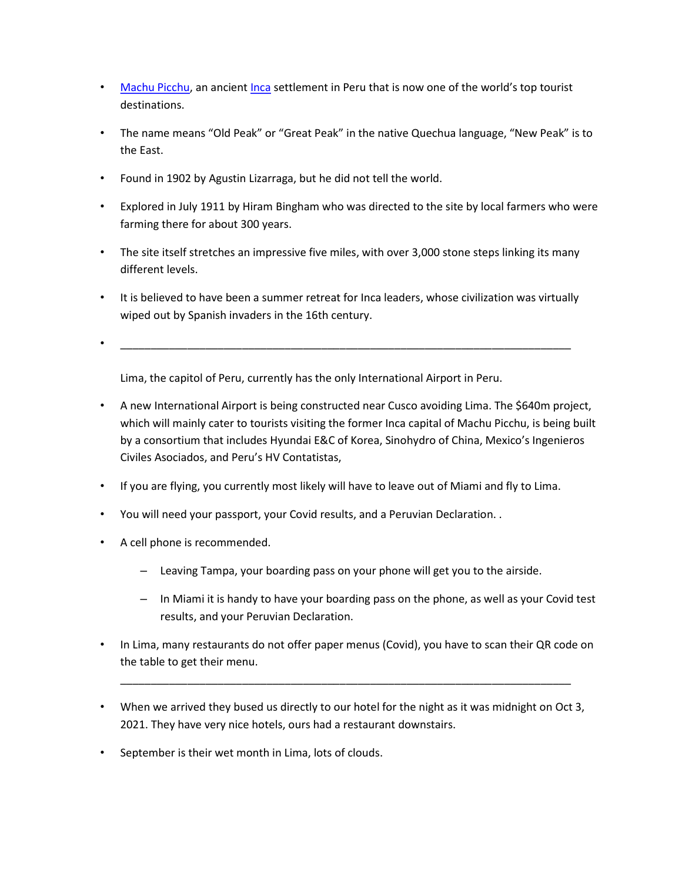- Machu Picchu, an ancient Inca settlement in Peru that is now one of the world's top tourist destinations.
- The name means "Old Peak" or "Great Peak" in the native Quechua language, "New Peak" is to the East.
- Found in 1902 by Agustin Lizarraga, but he did not tell the world.
- Explored in July 1911 by Hiram Bingham who was directed to the site by local farmers who were farming there for about 300 years.
- The site itself stretches an impressive five miles, with over 3,000 stone steps linking its many different levels.
- It is believed to have been a summer retreat for Inca leaders, whose civilization was virtually wiped out by Spanish invaders in the 16th century.
- $\hspace{0.4cm}$   $\hspace{0.4cm}$   $\hspace{0.4cm}$   $\hspace{0.4cm}$   $\hspace{0.4cm}$   $\hspace{0.4cm}$   $\hspace{0.4cm}$   $\hspace{0.4cm}$   $\hspace{0.4cm}$   $\hspace{0.4cm}$   $\hspace{0.4cm}$   $\hspace{0.4cm}$   $\hspace{0.4cm}$   $\hspace{0.4cm}$   $\hspace{0.4cm}$   $\hspace{0.4cm}$   $\hspace{0.4cm}$   $\hspace{0.4cm}$   $\hs$

Lima, the capitol of Peru, currently has the only International Airport in Peru.

- A new International Airport is being constructed near Cusco avoiding Lima. The \$640m project, which will mainly cater to tourists visiting the former Inca capital of Machu Picchu, is being built by a consortium that includes Hyundai E&C of Korea, Sinohydro of China, Mexico's Ingenieros Civiles Asociados, and Peru's HV Contatistas,
- If you are flying, you currently most likely will have to leave out of Miami and fly to Lima.
- You will need your passport, your Covid results, and a Peruvian Declaration. .
- A cell phone is recommended.
	- Leaving Tampa, your boarding pass on your phone will get you to the airside.
	- In Miami it is handy to have your boarding pass on the phone, as well as your Covid test results, and your Peruvian Declaration.
- In Lima, many restaurants do not offer paper menus (Covid), you have to scan their QR code on the table to get their menu.

\_\_\_\_\_\_\_\_\_\_\_\_\_\_\_\_\_\_\_\_\_\_\_\_\_\_\_\_\_\_\_\_\_\_\_\_\_\_\_\_\_\_\_\_\_\_\_\_\_\_\_\_\_\_\_\_\_\_\_\_\_\_\_\_\_\_\_\_\_\_\_\_\_\_

- When we arrived they bused us directly to our hotel for the night as it was midnight on Oct 3, 2021. They have very nice hotels, ours had a restaurant downstairs.
- September is their wet month in Lima, lots of clouds.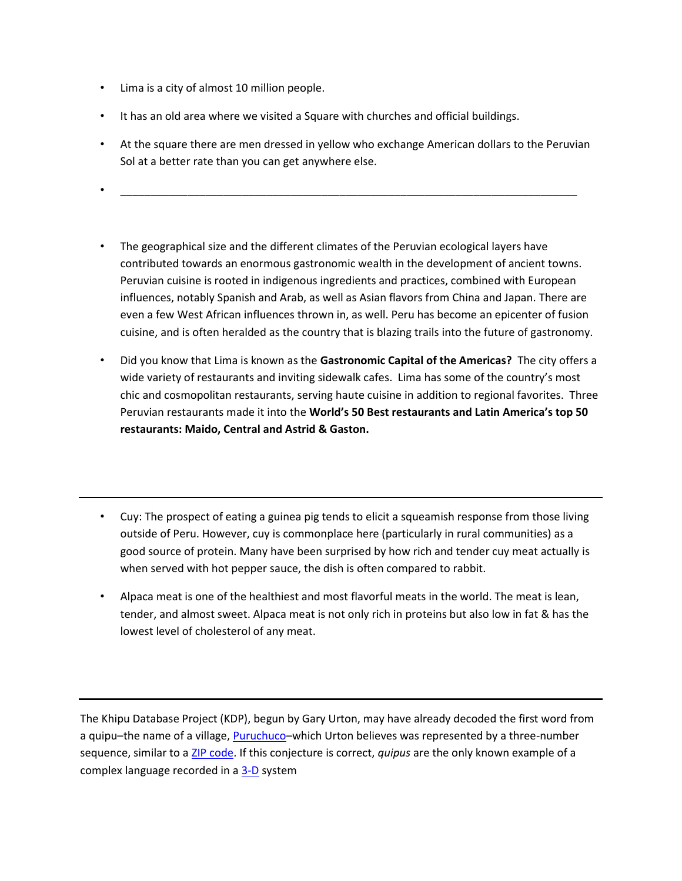- Lima is a city of almost 10 million people.
- It has an old area where we visited a Square with churches and official buildings.
- At the square there are men dressed in yellow who exchange American dollars to the Peruvian Sol at a better rate than you can get anywhere else.
- $\hspace{.2cm}$   $\hspace{.2cm}$   $\hspace{.2cm}$   $\hspace{.2cm}$   $\hspace{.2cm}$   $\hspace{.2cm}$   $\hspace{.2cm}$   $\hspace{.2cm}$   $\hspace{.2cm}$   $\hspace{.2cm}$   $\hspace{.2cm}$   $\hspace{.2cm}$   $\hspace{.2cm}$   $\hspace{.2cm}$   $\hspace{.2cm}$   $\hspace{.2cm}$   $\hspace{.2cm}$   $\hspace{.2cm}$   $\hspace{.2cm}$   $\hspace{.2cm}$
- The geographical size and the different climates of the Peruvian ecological layers have contributed towards an enormous gastronomic wealth in the development of ancient towns. Peruvian cuisine is rooted in indigenous ingredients and practices, combined with European influences, notably Spanish and Arab, as well as Asian flavors from China and Japan. There are even a few West African influences thrown in, as well. Peru has become an epicenter of fusion cuisine, and is often heralded as the country that is blazing trails into the future of gastronomy.
- Did you know that Lima is known as the Gastronomic Capital of the Americas? The city offers a wide variety of restaurants and inviting sidewalk cafes. Lima has some of the country's most chic and cosmopolitan restaurants, serving haute cuisine in addition to regional favorites. Three Peruvian restaurants made it into the World's 50 Best restaurants and Latin America's top 50 restaurants: Maido, Central and Astrid & Gaston.
- Cuy: The prospect of eating a guinea pig tends to elicit a squeamish response from those living outside of Peru. However, cuy is commonplace here (particularly in rural communities) as a good source of protein. Many have been surprised by how rich and tender cuy meat actually is when served with hot pepper sauce, the dish is often compared to rabbit.
- Alpaca meat is one of the healthiest and most flavorful meats in the world. The meat is lean, tender, and almost sweet. Alpaca meat is not only rich in proteins but also low in fat & has the lowest level of cholesterol of any meat.

The Khipu Database Project (KDP), begun by Gary Urton, may have already decoded the first word from a quipu–the name of a village, Puruchuco–which Urton believes was represented by a three-number sequence, similar to a ZIP code. If this conjecture is correct, quipus are the only known example of a complex language recorded in a 3-D system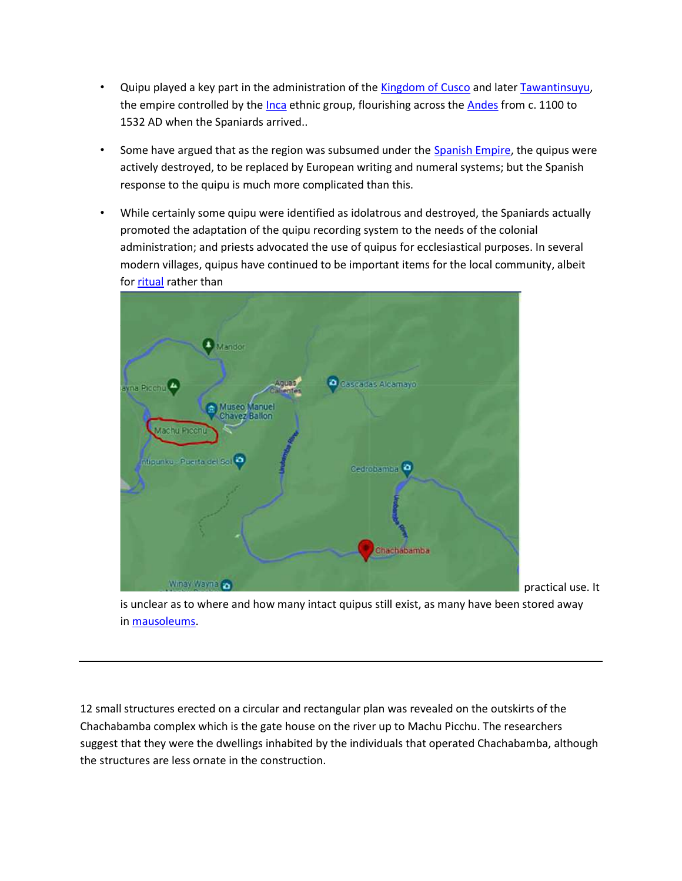- Quipu played a key part in the administration of the Kingdom of Cusco and later Tawantinsuyu, the empire controlled by the Inca ethnic group, flourishing across the Andes from c. 1100 to 1532 AD when the Spaniards arrived..
- Some have argued that as the region was subsumed under the Spanish Empire, the quipus were actively destroyed, to be replaced by European writing and numeral systems; but the Spanish response to the quipu is much more complicated than this.
- While certainly some quipu were identified as idolatrous and destroyed, the Spaniards actually promoted the adaptation of the quipu recording system to the needs of the colonial administration; and priests advocated the use of quipus for ecclesiastical purposes. In several modern villages, quipus have continued to be important items for the local community, albeit for ritual rather than



practical use. It

is unclear as to where and how many intact quipus still exist, as many have been stored away in mausoleums.

12 small structures erected on a circular and rectangular plan was revealed on the outskirts of the Chachabamba complex which is the gate house on the river up to Machu Picchu. The researchers suggest that they were the dwellings inhabited by the individuals that operated Chachabamba, although the structures are less ornate in the construction.